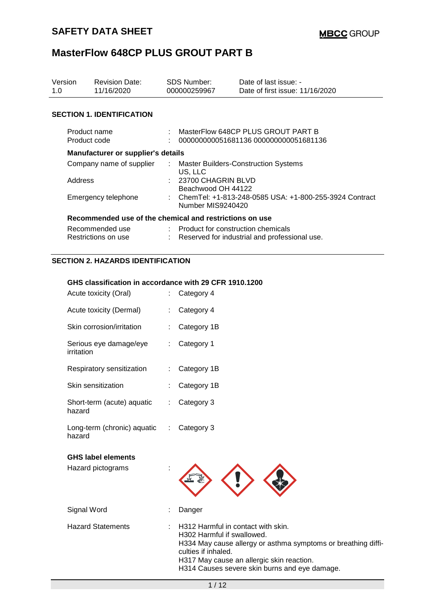| Version<br>1.0                         | <b>Revision Date:</b><br>11/16/2020                     | <b>SDS Number:</b><br>000000259967                                                              |                                      | Date of last issue: -<br>Date of first issue: 11/16/2020 |  |  |
|----------------------------------------|---------------------------------------------------------|-------------------------------------------------------------------------------------------------|--------------------------------------|----------------------------------------------------------|--|--|
|                                        | <b>SECTION 1. IDENTIFICATION</b>                        |                                                                                                 |                                      |                                                          |  |  |
| Product name<br>Product code           |                                                         | MasterFlow 648CP PLUS GROUT PART B<br>000000000051681136 000000000051681136                     |                                      |                                                          |  |  |
| Manufacturer or supplier's details     |                                                         |                                                                                                 |                                      |                                                          |  |  |
| Company name of supplier<br>Address    |                                                         | : Master Builders-Construction Systems<br>US, LLC<br>: 23700 CHAGRIN BLVD<br>Beachwood OH 44122 |                                      |                                                          |  |  |
| Emergency telephone                    |                                                         | : ChemTel: +1-813-248-0585 USA: +1-800-255-3924 Contract<br>Number MIS9240420                   |                                      |                                                          |  |  |
|                                        | Recommended use of the chemical and restrictions on use |                                                                                                 |                                      |                                                          |  |  |
| Recommended use<br>Restrictions on use |                                                         |                                                                                                 | : Product for construction chemicals | Reserved for industrial and professional use.            |  |  |

### **SECTION 2. HAZARDS IDENTIFICATION**

### **GHS classification in accordance with 29 CFR 1910.1200**

| Acute toxicity (Oral)                          |   | Category 4                                                                                                                                                                                                                                             |  |  |
|------------------------------------------------|---|--------------------------------------------------------------------------------------------------------------------------------------------------------------------------------------------------------------------------------------------------------|--|--|
| Acute toxicity (Dermal)                        |   | Category 4                                                                                                                                                                                                                                             |  |  |
| Skin corrosion/irritation                      |   | Category 1B                                                                                                                                                                                                                                            |  |  |
| Serious eye damage/eye<br>irritation           |   | Category 1                                                                                                                                                                                                                                             |  |  |
| Respiratory sensitization                      |   | Category 1B                                                                                                                                                                                                                                            |  |  |
| Skin sensitization                             |   | Category 1B                                                                                                                                                                                                                                            |  |  |
| Short-term (acute) aquatic<br>hazard           |   | Category 3                                                                                                                                                                                                                                             |  |  |
| Long-term (chronic) aquatic<br>hazard          | ÷ | Category 3                                                                                                                                                                                                                                             |  |  |
| <b>GHS label elements</b><br>Hazard pictograms |   |                                                                                                                                                                                                                                                        |  |  |
| Signal Word                                    |   | Danger                                                                                                                                                                                                                                                 |  |  |
| <b>Hazard Statements</b>                       |   | H312 Harmful in contact with skin.<br>H302 Harmful if swallowed.<br>H334 May cause allergy or asthma symptoms or breathing diffi-<br>culties if inhaled.<br>H317 May cause an allergic skin reaction.<br>H314 Causes severe skin burns and eye damage. |  |  |
| 1/12                                           |   |                                                                                                                                                                                                                                                        |  |  |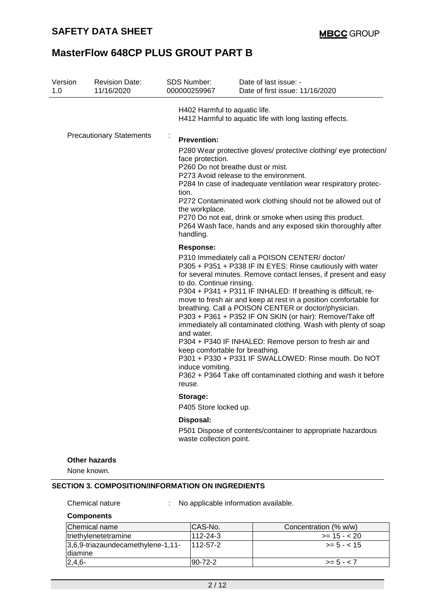| H402 Harmful to aquatic life.<br>H412 Harmful to aquatic life with long lasting effects.<br><b>Precautionary Statements</b><br>÷<br><b>Prevention:</b><br>P280 Wear protective gloves/ protective clothing/ eye protection/<br>face protection.<br>P260 Do not breathe dust or mist.<br>P273 Avoid release to the environment.                                                                                                                                                                                                                                                                                                                                                                                                                          |  |
|---------------------------------------------------------------------------------------------------------------------------------------------------------------------------------------------------------------------------------------------------------------------------------------------------------------------------------------------------------------------------------------------------------------------------------------------------------------------------------------------------------------------------------------------------------------------------------------------------------------------------------------------------------------------------------------------------------------------------------------------------------|--|
|                                                                                                                                                                                                                                                                                                                                                                                                                                                                                                                                                                                                                                                                                                                                                         |  |
| P284 In case of inadequate ventilation wear respiratory protec-<br>tion.<br>P272 Contaminated work clothing should not be allowed out of<br>the workplace.<br>P270 Do not eat, drink or smoke when using this product.<br>P264 Wash face, hands and any exposed skin thoroughly after<br>handling.<br><b>Response:</b><br>P310 Immediately call a POISON CENTER/doctor/                                                                                                                                                                                                                                                                                                                                                                                 |  |
| P305 + P351 + P338 IF IN EYES: Rinse cautiously with water<br>for several minutes. Remove contact lenses, if present and easy<br>to do. Continue rinsing.<br>P304 + P341 + P311 IF INHALED: If breathing is difficult, re-<br>move to fresh air and keep at rest in a position comfortable for<br>breathing. Call a POISON CENTER or doctor/physician.<br>P303 + P361 + P352 IF ON SKIN (or hair): Remove/Take off<br>immediately all contaminated clothing. Wash with plenty of soap<br>and water.<br>P304 + P340 IF INHALED: Remove person to fresh air and<br>keep comfortable for breathing.<br>P301 + P330 + P331 IF SWALLOWED: Rinse mouth. Do NOT<br>induce vomiting.<br>P362 + P364 Take off contaminated clothing and wash it before<br>reuse. |  |
| Storage:<br>P405 Store locked up.                                                                                                                                                                                                                                                                                                                                                                                                                                                                                                                                                                                                                                                                                                                       |  |
| Disposal:<br>P501 Dispose of contents/container to appropriate hazardous<br>waste collection point.                                                                                                                                                                                                                                                                                                                                                                                                                                                                                                                                                                                                                                                     |  |
| Other hazards<br>None known.                                                                                                                                                                                                                                                                                                                                                                                                                                                                                                                                                                                                                                                                                                                            |  |

Chemical nature : No applicable information available.

#### **Components**

| Chemical name                                | ICAS-No.        | Concentration (% w/w) |
|----------------------------------------------|-----------------|-----------------------|
| triethylenetetramine                         | 112-24-3        | $>= 15 - 20$          |
| 3,6,9-triazaundecamethylene-1,11-<br>diamine | $1112 - 57 - 2$ | $\ge$ = 5 - < 15      |
| $2,4,6-$                                     | $ 90-72-2 $     | $>= 5 - < 7$          |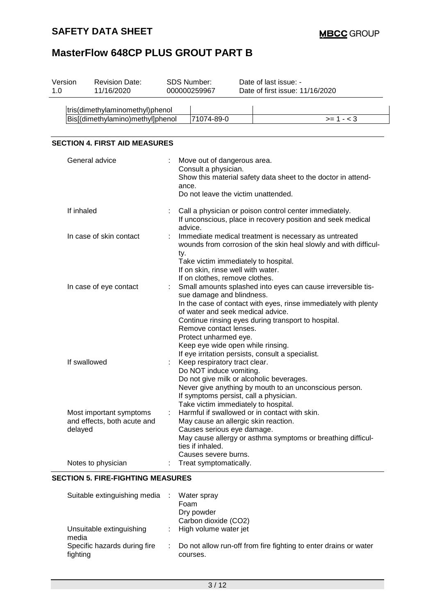| tris(dimethylaminomethyl)phenol<br>Bis[(dimethylamino)methyl]phenol<br>71074-89-0<br>$>= 1 - 3$                                                                                                                                                                                                                                                                                                                                 |  |
|---------------------------------------------------------------------------------------------------------------------------------------------------------------------------------------------------------------------------------------------------------------------------------------------------------------------------------------------------------------------------------------------------------------------------------|--|
|                                                                                                                                                                                                                                                                                                                                                                                                                                 |  |
|                                                                                                                                                                                                                                                                                                                                                                                                                                 |  |
|                                                                                                                                                                                                                                                                                                                                                                                                                                 |  |
| <b>SECTION 4. FIRST AID MEASURES</b>                                                                                                                                                                                                                                                                                                                                                                                            |  |
| General advice<br>Move out of dangerous area.<br>Consult a physician.<br>Show this material safety data sheet to the doctor in attend-<br>ance.<br>Do not leave the victim unattended.                                                                                                                                                                                                                                          |  |
| If inhaled<br>Call a physician or poison control center immediately.<br>If unconscious, place in recovery position and seek medical<br>advice.                                                                                                                                                                                                                                                                                  |  |
| In case of skin contact<br>Immediate medical treatment is necessary as untreated<br>wounds from corrosion of the skin heal slowly and with difficul-<br>ty.<br>Take victim immediately to hospital.<br>If on skin, rinse well with water.<br>If on clothes, remove clothes.                                                                                                                                                     |  |
| Small amounts splashed into eyes can cause irreversible tis-<br>In case of eye contact<br>sue damage and blindness.<br>In the case of contact with eyes, rinse immediately with plenty<br>of water and seek medical advice.<br>Continue rinsing eyes during transport to hospital.<br>Remove contact lenses.<br>Protect unharmed eye.<br>Keep eye wide open while rinsing.<br>If eye irritation persists, consult a specialist. |  |
| If swallowed<br>Keep respiratory tract clear.<br>Do NOT induce vomiting.<br>Do not give milk or alcoholic beverages.<br>Never give anything by mouth to an unconscious person.<br>If symptoms persist, call a physician.<br>Take victim immediately to hospital.                                                                                                                                                                |  |
| Harmful if swallowed or in contact with skin.<br>Most important symptoms<br>and effects, both acute and<br>May cause an allergic skin reaction.<br>delayed<br>Causes serious eye damage.<br>May cause allergy or asthma symptoms or breathing difficul-<br>ties if inhaled.<br>Causes severe burns.                                                                                                                             |  |
| Notes to physician<br>Treat symptomatically.                                                                                                                                                                                                                                                                                                                                                                                    |  |

### **SECTION 5. FIRE-FIGHTING MEASURES**

| Suitable extinguishing media             | Water spray<br>Foam<br>Dry powder<br>Carbon dioxide (CO2)                      |
|------------------------------------------|--------------------------------------------------------------------------------|
| Unsuitable extinguishing<br>media        | : High volume water jet                                                        |
| Specific hazards during fire<br>fighting | : Do not allow run-off from fire fighting to enter drains or water<br>courses. |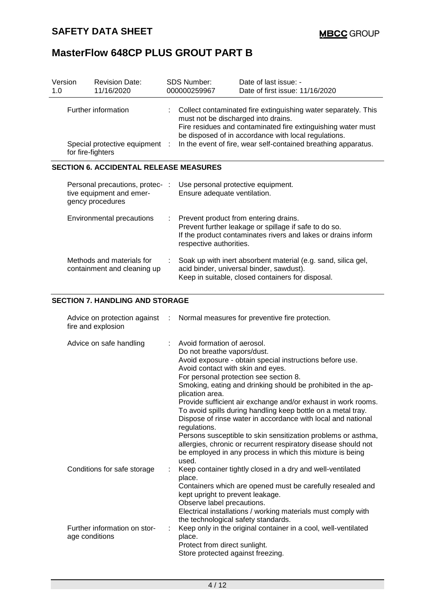| Version<br>1.0 | <b>Revision Date:</b><br>11/16/2020                                             |  | <b>SDS Number:</b><br>000000259967                                                                                                                                                                                                                                                              | Date of last issue: -<br>Date of first issue: 11/16/2020                                                                                                                                                                                                                                                                                                                                                                                                                                                                                                            |
|----------------|---------------------------------------------------------------------------------|--|-------------------------------------------------------------------------------------------------------------------------------------------------------------------------------------------------------------------------------------------------------------------------------------------------|---------------------------------------------------------------------------------------------------------------------------------------------------------------------------------------------------------------------------------------------------------------------------------------------------------------------------------------------------------------------------------------------------------------------------------------------------------------------------------------------------------------------------------------------------------------------|
|                | Further information<br>Special protective equipment :<br>for fire-fighters      |  | Collect contaminated fire extinguishing water separately. This<br>must not be discharged into drains.<br>Fire residues and contaminated fire extinguishing water must<br>be disposed of in accordance with local regulations.<br>In the event of fire, wear self-contained breathing apparatus. |                                                                                                                                                                                                                                                                                                                                                                                                                                                                                                                                                                     |
|                | <b>SECTION 6. ACCIDENTAL RELEASE MEASURES</b>                                   |  |                                                                                                                                                                                                                                                                                                 |                                                                                                                                                                                                                                                                                                                                                                                                                                                                                                                                                                     |
|                | Personal precautions, protec- :<br>tive equipment and emer-<br>gency procedures |  | Use personal protective equipment.<br>Ensure adequate ventilation.                                                                                                                                                                                                                              |                                                                                                                                                                                                                                                                                                                                                                                                                                                                                                                                                                     |
|                | <b>Environmental precautions</b>                                                |  | respective authorities.                                                                                                                                                                                                                                                                         | Prevent product from entering drains.<br>Prevent further leakage or spillage if safe to do so.<br>If the product contaminates rivers and lakes or drains inform                                                                                                                                                                                                                                                                                                                                                                                                     |
|                | Methods and materials for<br>containment and cleaning up                        |  |                                                                                                                                                                                                                                                                                                 | Soak up with inert absorbent material (e.g. sand, silica gel,<br>acid binder, universal binder, sawdust).<br>Keep in suitable, closed containers for disposal.                                                                                                                                                                                                                                                                                                                                                                                                      |
|                | <b>SECTION 7. HANDLING AND STORAGE</b>                                          |  |                                                                                                                                                                                                                                                                                                 |                                                                                                                                                                                                                                                                                                                                                                                                                                                                                                                                                                     |
|                | Advice on protection against<br>fire and explosion                              |  |                                                                                                                                                                                                                                                                                                 | Normal measures for preventive fire protection.                                                                                                                                                                                                                                                                                                                                                                                                                                                                                                                     |
|                | Advice on safe handling                                                         |  | Avoid formation of aerosol.<br>Do not breathe vapors/dust.<br>Avoid contact with skin and eyes.<br>plication area.<br>regulations.<br>used.                                                                                                                                                     | Avoid exposure - obtain special instructions before use.<br>For personal protection see section 8.<br>Smoking, eating and drinking should be prohibited in the ap-<br>Provide sufficient air exchange and/or exhaust in work rooms.<br>To avoid spills during handling keep bottle on a metal tray.<br>Dispose of rinse water in accordance with local and national<br>Persons susceptible to skin sensitization problems or asthma,<br>allergies, chronic or recurrent respiratory disease should not<br>be employed in any process in which this mixture is being |
|                | Conditions for safe storage                                                     |  | place.<br>kept upright to prevent leakage.<br>Observe label precautions.<br>the technological safety standards.                                                                                                                                                                                 | Keep container tightly closed in a dry and well-ventilated<br>Containers which are opened must be carefully resealed and<br>Electrical installations / working materials must comply with                                                                                                                                                                                                                                                                                                                                                                           |
|                | Further information on stor-<br>age conditions                                  |  | place.<br>Protect from direct sunlight.<br>Store protected against freezing.                                                                                                                                                                                                                    | Keep only in the original container in a cool, well-ventilated                                                                                                                                                                                                                                                                                                                                                                                                                                                                                                      |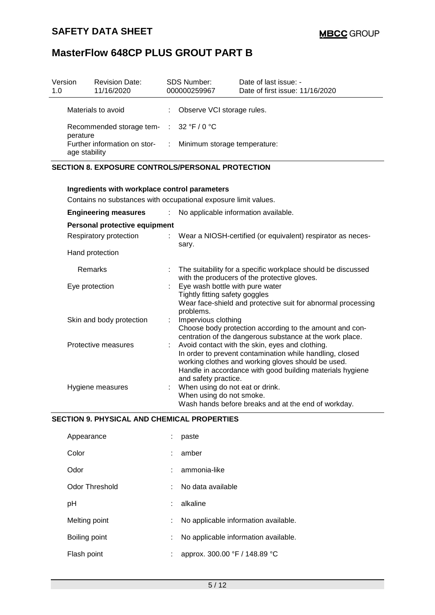| Version<br>1.0                                                 | <b>Revision Date:</b><br>11/16/2020 |    | <b>SDS Number:</b><br>000000259967 | Date of last issue: -<br>Date of first issue: 11/16/2020 |
|----------------------------------------------------------------|-------------------------------------|----|------------------------------------|----------------------------------------------------------|
|                                                                | Materials to avoid                  | ÷. | Observe VCI storage rules.         |                                                          |
| Recommended storage tem- $\therefore$ 32 °F / 0 °C<br>perature |                                     |    |                                    |                                                          |
| Further information on stor-<br>age stability                  |                                     |    | : Minimum storage temperature:     |                                                          |

## **SECTION 8. EXPOSURE CONTROLS/PERSONAL PROTECTION**

| Ingredients with workplace control parameters                   |  |                                                                                                                                                                                                                                                        |  |  |  |  |
|-----------------------------------------------------------------|--|--------------------------------------------------------------------------------------------------------------------------------------------------------------------------------------------------------------------------------------------------------|--|--|--|--|
| Contains no substances with occupational exposure limit values. |  |                                                                                                                                                                                                                                                        |  |  |  |  |
| <b>Engineering measures</b>                                     |  | : No applicable information available.                                                                                                                                                                                                                 |  |  |  |  |
| Personal protective equipment                                   |  |                                                                                                                                                                                                                                                        |  |  |  |  |
| Respiratory protection                                          |  | : Wear a NIOSH-certified (or equivalent) respirator as neces-<br>sary.                                                                                                                                                                                 |  |  |  |  |
| Hand protection                                                 |  |                                                                                                                                                                                                                                                        |  |  |  |  |
| Remarks                                                         |  | The suitability for a specific workplace should be discussed<br>with the producers of the protective gloves.                                                                                                                                           |  |  |  |  |
| Eye protection                                                  |  | Eye wash bottle with pure water<br>Tightly fitting safety goggles<br>Wear face-shield and protective suit for abnormal processing<br>problems.                                                                                                         |  |  |  |  |
| Skin and body protection                                        |  | Impervious clothing<br>Choose body protection according to the amount and con-<br>centration of the dangerous substance at the work place.                                                                                                             |  |  |  |  |
| Protective measures                                             |  | Avoid contact with the skin, eyes and clothing.<br>In order to prevent contamination while handling, closed<br>working clothes and working gloves should be used.<br>Handle in accordance with good building materials hygiene<br>and safety practice. |  |  |  |  |
| Hygiene measures                                                |  | : When using do not eat or drink.<br>When using do not smoke.<br>Wash hands before breaks and at the end of workday.                                                                                                                                   |  |  |  |  |

### **SECTION 9. PHYSICAL AND CHEMICAL PROPERTIES**

| Appearance     | paste                                |
|----------------|--------------------------------------|
| Color          | amber                                |
| Odor           | ammonia-like                         |
| Odor Threshold | No data available                    |
| рH             | alkaline                             |
| Melting point  | No applicable information available. |
| Boiling point  | No applicable information available. |
| Flash point    | approx. 300.00 °F / 148.89 °C        |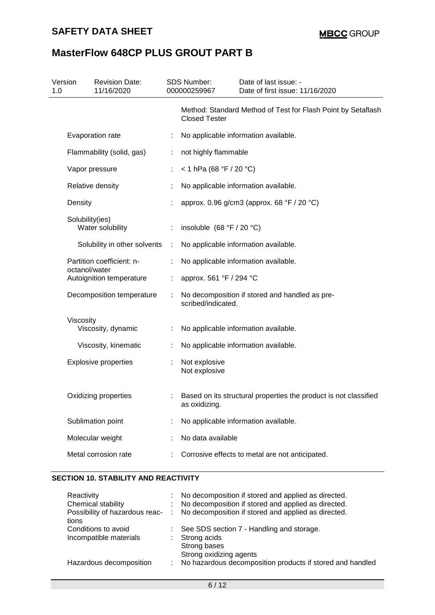| 1.0 | Version                   | <b>Revision Date:</b><br>11/16/2020 |   | SDS Number:<br>000000259967    | Date of last issue: -<br>Date of first issue: 11/16/2020         |
|-----|---------------------------|-------------------------------------|---|--------------------------------|------------------------------------------------------------------|
|     |                           |                                     |   | <b>Closed Tester</b>           | Method: Standard Method of Test for Flash Point by Setaflash     |
|     |                           | Evaporation rate                    | ÷ |                                | No applicable information available.                             |
|     | Flammability (solid, gas) |                                     | ÷ | not highly flammable           |                                                                  |
|     |                           | Vapor pressure                      |   | < 1 hPa (68 °F / 20 °C)        |                                                                  |
|     |                           | Relative density                    |   |                                | No applicable information available.                             |
|     | Density                   |                                     |   |                                | approx. 0.96 g/cm3 (approx. 68 °F / 20 °C)                       |
|     | Solubility(ies)           | Water solubility                    |   | insoluble $(68 °F / 20 °C)$    |                                                                  |
|     |                           | Solubility in other solvents        | ÷ |                                | No applicable information available.                             |
|     | octanol/water             | Partition coefficient: n-           |   |                                | No applicable information available.                             |
|     |                           | Autoignition temperature            |   | approx. 561 °F / 294 °C        |                                                                  |
|     |                           | Decomposition temperature           |   | scribed/indicated.             | No decomposition if stored and handled as pre-                   |
|     | Viscosity                 |                                     |   |                                |                                                                  |
|     |                           | Viscosity, dynamic                  |   |                                | No applicable information available.                             |
|     |                           | Viscosity, kinematic                |   |                                | No applicable information available.                             |
|     |                           | <b>Explosive properties</b>         |   | Not explosive<br>Not explosive |                                                                  |
|     |                           | Oxidizing properties                |   | as oxidizing.                  | Based on its structural properties the product is not classified |
|     |                           | Sublimation point                   |   |                                | No applicable information available.                             |
|     |                           | Molecular weight                    |   | No data available              |                                                                  |
|     |                           | Metal corrosion rate                |   |                                | Corrosive effects to metal are not anticipated.                  |
|     |                           |                                     |   |                                |                                                                  |

## **SECTION 10. STABILITY AND REACTIVITY**

| Reactivity              | : No decomposition if stored and applied as directed.                                |
|-------------------------|--------------------------------------------------------------------------------------|
| Chemical stability      | : No decomposition if stored and applied as directed.                                |
|                         | Possibility of hazardous reac- : No decomposition if stored and applied as directed. |
| tions                   |                                                                                      |
| Conditions to avoid     | : See SDS section 7 - Handling and storage.                                          |
| Incompatible materials  | : Strong acids                                                                       |
|                         | Strong bases                                                                         |
|                         | Strong oxidizing agents                                                              |
| Hazardous decomposition | No hazardous decomposition products if stored and handled                            |
|                         |                                                                                      |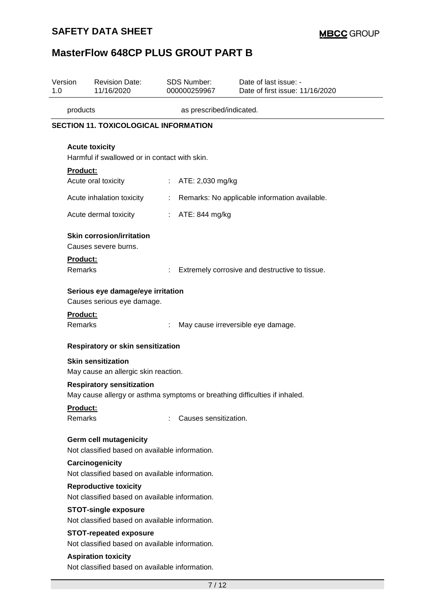## **SAFETY DATA SHEET**

# **MasterFlow 648CP PLUS GROUT PART B**

| Version<br>1.0                                                                 |                                                                              | <b>Revision Date:</b><br>11/16/2020                                             | SDS Number:<br>000000259967 | Date of last issue: -<br>Date of first issue: 11/16/2020                   |  |  |
|--------------------------------------------------------------------------------|------------------------------------------------------------------------------|---------------------------------------------------------------------------------|-----------------------------|----------------------------------------------------------------------------|--|--|
|                                                                                | products                                                                     |                                                                                 | as prescribed/indicated.    |                                                                            |  |  |
| <b>SECTION 11. TOXICOLOGICAL INFORMATION</b>                                   |                                                                              |                                                                                 |                             |                                                                            |  |  |
|                                                                                |                                                                              | <b>Acute toxicity</b><br>Harmful if swallowed or in contact with skin.          |                             |                                                                            |  |  |
|                                                                                | <b>Product:</b>                                                              | Acute oral toxicity                                                             | ATE: 2,030 mg/kg            |                                                                            |  |  |
|                                                                                |                                                                              | Acute inhalation toxicity                                                       | ÷                           | Remarks: No applicable information available.                              |  |  |
|                                                                                |                                                                              | Acute dermal toxicity                                                           | ATE: 844 mg/kg<br>÷.        |                                                                            |  |  |
|                                                                                | Product:<br>Remarks                                                          | <b>Skin corrosion/irritation</b><br>Causes severe burns.                        |                             | Extremely corrosive and destructive to tissue.                             |  |  |
|                                                                                |                                                                              | Serious eye damage/eye irritation<br>Causes serious eye damage.                 |                             |                                                                            |  |  |
|                                                                                | Product:<br>Remarks                                                          |                                                                                 |                             | May cause irreversible eye damage.                                         |  |  |
|                                                                                |                                                                              | Respiratory or skin sensitization                                               |                             |                                                                            |  |  |
|                                                                                |                                                                              | <b>Skin sensitization</b><br>May cause an allergic skin reaction.               |                             |                                                                            |  |  |
|                                                                                |                                                                              | <b>Respiratory sensitization</b>                                                |                             | May cause allergy or asthma symptoms or breathing difficulties if inhaled. |  |  |
|                                                                                | Product:<br>Remarks                                                          |                                                                                 | Causes sensitization.       |                                                                            |  |  |
| Germ cell mutagenicity<br>Not classified based on available information.       |                                                                              |                                                                                 |                             |                                                                            |  |  |
|                                                                                |                                                                              | Carcinogenicity<br>Not classified based on available information.               |                             |                                                                            |  |  |
| <b>Reproductive toxicity</b><br>Not classified based on available information. |                                                                              |                                                                                 |                             |                                                                            |  |  |
|                                                                                |                                                                              | <b>STOT-single exposure</b><br>Not classified based on available information.   |                             |                                                                            |  |  |
|                                                                                |                                                                              | <b>STOT-repeated exposure</b><br>Not classified based on available information. |                             |                                                                            |  |  |
|                                                                                | <b>Aspiration toxicity</b><br>Not classified based on available information. |                                                                                 |                             |                                                                            |  |  |
|                                                                                | 7 / 12                                                                       |                                                                                 |                             |                                                                            |  |  |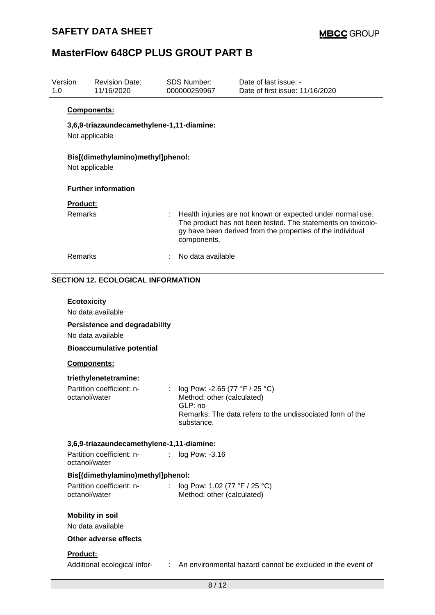| Version<br>1.0 | <b>Revision Date:</b><br>11/16/2020                         | <b>SDS Number:</b><br>000000259967 |                                                             | Date of last issue: -<br>Date of first issue: 11/16/2020                                                                                                                                  |  |  |  |  |  |  |
|----------------|-------------------------------------------------------------|------------------------------------|-------------------------------------------------------------|-------------------------------------------------------------------------------------------------------------------------------------------------------------------------------------------|--|--|--|--|--|--|
|                | Components:                                                 |                                    |                                                             |                                                                                                                                                                                           |  |  |  |  |  |  |
|                | 3,6,9-triazaundecamethylene-1,11-diamine:<br>Not applicable |                                    |                                                             |                                                                                                                                                                                           |  |  |  |  |  |  |
|                | Bis[(dimethylamino)methyl]phenol:<br>Not applicable         |                                    |                                                             |                                                                                                                                                                                           |  |  |  |  |  |  |
|                | <b>Further information</b>                                  |                                    |                                                             |                                                                                                                                                                                           |  |  |  |  |  |  |
|                | <b>Product:</b>                                             |                                    |                                                             |                                                                                                                                                                                           |  |  |  |  |  |  |
|                | Remarks                                                     |                                    | components.                                                 | Health injuries are not known or expected under normal use.<br>The product has not been tested. The statements on toxicolo-<br>gy have been derived from the properties of the individual |  |  |  |  |  |  |
|                | Remarks                                                     |                                    | No data available                                           |                                                                                                                                                                                           |  |  |  |  |  |  |
|                | <b>SECTION 12. ECOLOGICAL INFORMATION</b>                   |                                    |                                                             |                                                                                                                                                                                           |  |  |  |  |  |  |
|                |                                                             |                                    |                                                             |                                                                                                                                                                                           |  |  |  |  |  |  |
|                | <b>Ecotoxicity</b><br>No data available                     |                                    |                                                             |                                                                                                                                                                                           |  |  |  |  |  |  |
|                | <b>Persistence and degradability</b><br>No data available   |                                    |                                                             |                                                                                                                                                                                           |  |  |  |  |  |  |
|                | <b>Bioaccumulative potential</b>                            |                                    |                                                             |                                                                                                                                                                                           |  |  |  |  |  |  |
| Components:    |                                                             |                                    |                                                             |                                                                                                                                                                                           |  |  |  |  |  |  |
|                | triethylenetetramine:                                       |                                    |                                                             |                                                                                                                                                                                           |  |  |  |  |  |  |
|                | Partition coefficient: n-                                   |                                    | log Pow: -2.65 (77 °F / 25 °C)                              |                                                                                                                                                                                           |  |  |  |  |  |  |
|                | octanol/water                                               |                                    | Method: other (calculated)<br>GLP: no                       |                                                                                                                                                                                           |  |  |  |  |  |  |
|                |                                                             |                                    | substance.                                                  | Remarks: The data refers to the undissociated form of the                                                                                                                                 |  |  |  |  |  |  |
|                | 3,6,9-triazaundecamethylene-1,11-diamine:                   |                                    |                                                             |                                                                                                                                                                                           |  |  |  |  |  |  |
|                | Partition coefficient: n-<br>octanol/water                  |                                    | log Pow: -3.16                                              |                                                                                                                                                                                           |  |  |  |  |  |  |
|                | Bis[(dimethylamino)methyl]phenol:                           |                                    |                                                             |                                                                                                                                                                                           |  |  |  |  |  |  |
|                | Partition coefficient: n-<br>octanol/water                  | ÷.                                 | log Pow: 1.02 (77 °F / 25 °C)<br>Method: other (calculated) |                                                                                                                                                                                           |  |  |  |  |  |  |
|                | <b>Mobility in soil</b>                                     |                                    |                                                             |                                                                                                                                                                                           |  |  |  |  |  |  |
|                | No data available                                           |                                    |                                                             |                                                                                                                                                                                           |  |  |  |  |  |  |
|                | Other adverse effects                                       |                                    |                                                             |                                                                                                                                                                                           |  |  |  |  |  |  |
|                | Product:                                                    |                                    |                                                             |                                                                                                                                                                                           |  |  |  |  |  |  |
|                |                                                             |                                    |                                                             | Additional ecological infor- : An environmental hazard cannot be excluded in the event of                                                                                                 |  |  |  |  |  |  |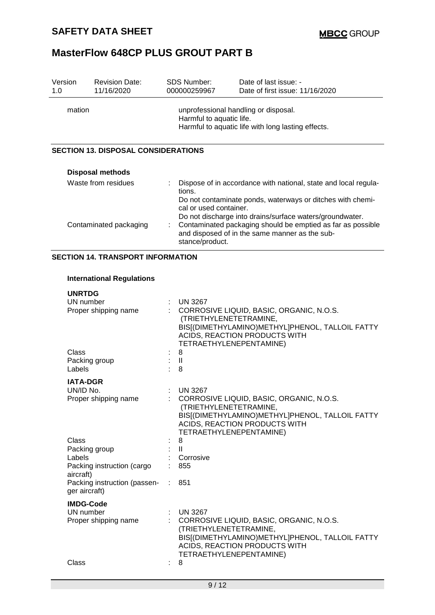| Version<br>1.0                           | <b>Revision Date:</b><br>11/16/2020        | <b>SDS Number:</b><br>000000259967                                                                                                                                                                                                  | Date of last issue: -<br>Date of first issue: 11/16/2020                                                      |  |  |
|------------------------------------------|--------------------------------------------|-------------------------------------------------------------------------------------------------------------------------------------------------------------------------------------------------------------------------------------|---------------------------------------------------------------------------------------------------------------|--|--|
| mation                                   |                                            | unprofessional handling or disposal.<br>Harmful to aquatic life.<br>Harmful to aquatic life with long lasting effects.                                                                                                              |                                                                                                               |  |  |
|                                          | <b>SECTION 13. DISPOSAL CONSIDERATIONS</b> |                                                                                                                                                                                                                                     |                                                                                                               |  |  |
|                                          | <b>Disposal methods</b>                    |                                                                                                                                                                                                                                     |                                                                                                               |  |  |
| Waste from residues                      |                                            | Dispose of in accordance with national, state and local regula-<br>÷.<br>tions.<br>Do not contaminate ponds, waterways or ditches with chemi-<br>cal or used container.<br>Do not discharge into drains/surface waters/groundwater. |                                                                                                               |  |  |
| Contaminated packaging                   |                                            | stance/product.                                                                                                                                                                                                                     | Contaminated packaging should be emptied as far as possible<br>and disposed of in the same manner as the sub- |  |  |
| <b>SECTION 14. TRANSPORT INFORMATION</b> |                                            |                                                                                                                                                                                                                                     |                                                                                                               |  |  |

## **International Regulations**

| <b>UNRTDG</b>                                 |          |                                                                                                                                                                                          |
|-----------------------------------------------|----------|------------------------------------------------------------------------------------------------------------------------------------------------------------------------------------------|
| UN number                                     |          | <b>UN 3267</b>                                                                                                                                                                           |
| Proper shipping name                          |          | CORROSIVE LIQUID, BASIC, ORGANIC, N.O.S.<br>(TRIETHYLENETETRAMINE,<br>BIS[(DIMETHYLAMINO)METHYL]PHENOL, TALLOIL FATTY<br>ACIDS, REACTION PRODUCTS WITH<br>TETRAETHYLENEPENTAMINE)        |
| Class                                         |          | 8                                                                                                                                                                                        |
| Packing group<br>Labels                       |          | $\mathbf{I}$<br>8                                                                                                                                                                        |
| <b>IATA-DGR</b>                               |          |                                                                                                                                                                                          |
| UN/ID No.                                     |          | <b>UN 3267</b>                                                                                                                                                                           |
| Proper shipping name                          |          | CORROSIVE LIQUID, BASIC, ORGANIC, N.O.S.<br>(TRIETHYLENETETRAMINE,<br>BIS[(DIMETHYLAMINO)METHYL]PHENOL, TALLOIL FATTY<br><b>ACIDS, REACTION PRODUCTS WITH</b><br>TETRAETHYLENEPENTAMINE) |
| Class                                         |          | 8                                                                                                                                                                                        |
| Packing group                                 | $\pm$ 11 |                                                                                                                                                                                          |
| Labels                                        |          | : Corrosive                                                                                                                                                                              |
| Packing instruction (cargo<br>aircraft)       |          | 855                                                                                                                                                                                      |
| Packing instruction (passen-<br>ger aircraft) |          | 851                                                                                                                                                                                      |
| <b>IMDG-Code</b>                              |          |                                                                                                                                                                                          |
| UN number                                     |          | <b>UN 3267</b>                                                                                                                                                                           |
| Proper shipping name                          |          | CORROSIVE LIQUID, BASIC, ORGANIC, N.O.S.<br>(TRIETHYLENETETRAMINE,<br>BIS[(DIMETHYLAMINO)METHYL]PHENOL, TALLOIL FATTY<br>ACIDS, REACTION PRODUCTS WITH<br>TETRAETHYLENEPENTAMINE)        |
| Class                                         |          | 8                                                                                                                                                                                        |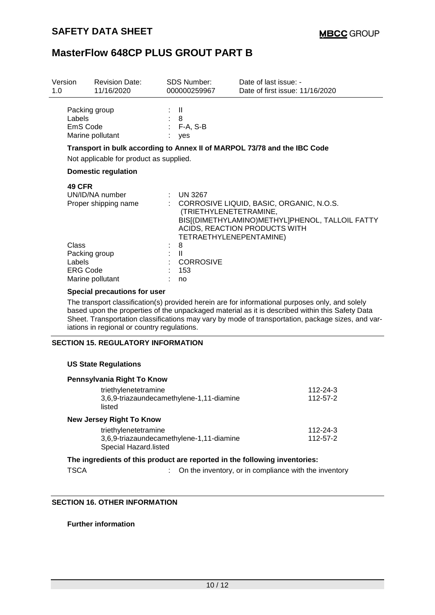| Version<br>1.0 | <b>Revision Date:</b><br>11/16/2020                                     |             | SDS Number:<br>000000259967                                      | Date of last issue: -<br>Date of first issue: 11/16/2020                                                                       |
|----------------|-------------------------------------------------------------------------|-------------|------------------------------------------------------------------|--------------------------------------------------------------------------------------------------------------------------------|
|                | Packing group<br>Labels<br>EmS Code<br>Marine pollutant                 | ÷ II<br>: 8 | $: F-A, S-B$<br>yes                                              |                                                                                                                                |
|                | Not applicable for product as supplied.                                 |             |                                                                  | Transport in bulk according to Annex II of MARPOL 73/78 and the IBC Code                                                       |
|                | <b>Domestic regulation</b>                                              |             |                                                                  |                                                                                                                                |
|                | <b>49 CFR</b><br>UN/ID/NA number<br>Proper shipping name                |             | $:$ UN 3267<br>(TRIETHYLENETETRAMINE,<br>TETRAETHYLENEPENTAMINE) | : CORROSIVE LIQUID, BASIC, ORGANIC, N.O.S.<br>BIS[(DIMETHYLAMINO)METHYL]PHENOL, TALLOIL FATTY<br>ACIDS, REACTION PRODUCTS WITH |
|                | Class<br>Packing group<br>Labels<br><b>ERG Code</b><br>Marine pollutant | ÷           | 8<br>$\mathbf{H}$<br>: CORROSIVE<br>153<br>no                    |                                                                                                                                |

#### **Special precautions for user**

The transport classification(s) provided herein are for informational purposes only, and solely based upon the properties of the unpackaged material as it is described within this Safety Data Sheet. Transportation classifications may vary by mode of transportation, package sizes, and variations in regional or country regulations.

### **SECTION 15. REGULATORY INFORMATION**

### **US State Regulations**

| Pennsylvania Right To Know                                        |          |
|-------------------------------------------------------------------|----------|
| triethylenetetramine                                              | 112-24-3 |
| 3,6,9-triazaundecamethylene-1,11-diamine<br>listed                | 112-57-2 |
| <b>New Jersey Right To Know</b>                                   |          |
| triethylenetetramine                                              | 112-24-3 |
| 3,6,9-triazaundecamethylene-1,11-diamine<br>Special Hazard.listed | 112-57-2 |
|                                                                   |          |

## **The ingredients of this product are reported in the following inventories:**

TSCA : On the inventory, or in compliance with the inventory

### **SECTION 16. OTHER INFORMATION**

**Further information**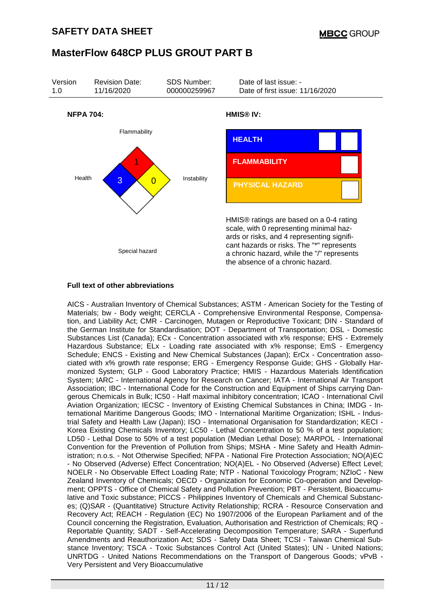

### **Full text of other abbreviations**

AICS - Australian Inventory of Chemical Substances; ASTM - American Society for the Testing of Materials; bw - Body weight; CERCLA - Comprehensive Environmental Response, Compensation, and Liability Act; CMR - Carcinogen, Mutagen or Reproductive Toxicant; DIN - Standard of the German Institute for Standardisation; DOT - Department of Transportation; DSL - Domestic Substances List (Canada); ECx - Concentration associated with x% response; EHS - Extremely Hazardous Substance; ELx - Loading rate associated with x% response; EmS - Emergency Schedule; ENCS - Existing and New Chemical Substances (Japan); ErCx - Concentration associated with x% growth rate response; ERG - Emergency Response Guide; GHS - Globally Harmonized System; GLP - Good Laboratory Practice; HMIS - Hazardous Materials Identification System; IARC - International Agency for Research on Cancer; IATA - International Air Transport Association; IBC - International Code for the Construction and Equipment of Ships carrying Dangerous Chemicals in Bulk; IC50 - Half maximal inhibitory concentration; ICAO - International Civil Aviation Organization; IECSC - Inventory of Existing Chemical Substances in China; IMDG - International Maritime Dangerous Goods; IMO - International Maritime Organization; ISHL - Industrial Safety and Health Law (Japan); ISO - International Organisation for Standardization; KECI - Korea Existing Chemicals Inventory; LC50 - Lethal Concentration to 50 % of a test population; LD50 - Lethal Dose to 50% of a test population (Median Lethal Dose); MARPOL - International Convention for the Prevention of Pollution from Ships; MSHA - Mine Safety and Health Administration; n.o.s. - Not Otherwise Specified; NFPA - National Fire Protection Association; NO(A)EC - No Observed (Adverse) Effect Concentration; NO(A)EL - No Observed (Adverse) Effect Level; NOELR - No Observable Effect Loading Rate; NTP - National Toxicology Program; NZIoC - New Zealand Inventory of Chemicals; OECD - Organization for Economic Co-operation and Development; OPPTS - Office of Chemical Safety and Pollution Prevention; PBT - Persistent, Bioaccumulative and Toxic substance; PICCS - Philippines Inventory of Chemicals and Chemical Substances; (Q)SAR - (Quantitative) Structure Activity Relationship; RCRA - Resource Conservation and Recovery Act; REACH - Regulation (EC) No 1907/2006 of the European Parliament and of the Council concerning the Registration, Evaluation, Authorisation and Restriction of Chemicals; RQ - Reportable Quantity; SADT - Self-Accelerating Decomposition Temperature; SARA - Superfund Amendments and Reauthorization Act; SDS - Safety Data Sheet; TCSI - Taiwan Chemical Substance Inventory; TSCA - Toxic Substances Control Act (United States); UN - United Nations; UNRTDG - United Nations Recommendations on the Transport of Dangerous Goods; vPvB - Very Persistent and Very Bioaccumulative